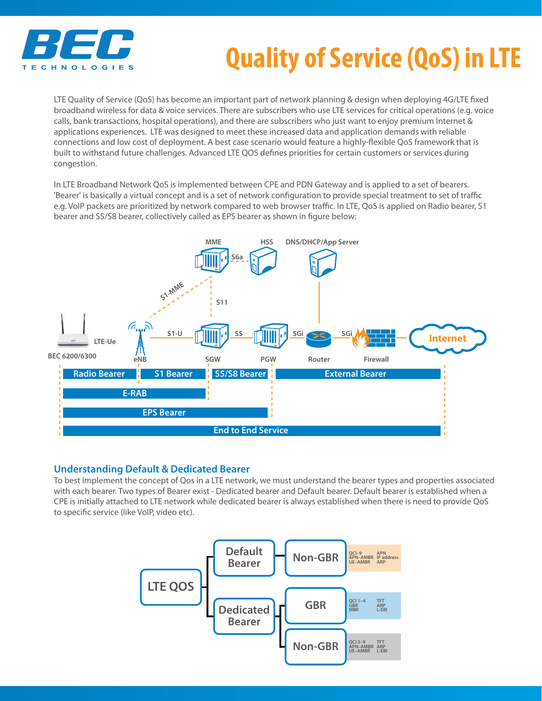

## **Quality of Service (QoS) in LTE**

LTE Quality of Service (QoS) has become an important part of network planning & design when deploying 4G/LTE fixed broadband wireless for data & voice services. There are subscribers who use LTE services for critical operations (e.g. voice calls, bank transactions, hospital operations), and there are subscribers who just want to enjoy premium Internet & applications experiences. LTE was designed to meet these increased data and application demands with reliable connections and low cost of deployment. A best case scenario would feature a highly-flexible QoS framework that is built to withstand future challenges. Advanced LTE QOS defines priorities for certain customers or services during congestion.

In LTE Broadband Network QoS is implemented between CPE and PDN Gateway and is applied to a set of bearers. 'Bearer' is basically a virtual concept and is a set of network configuration to provide special treatment to set of traffic e.g. VoIP packets are prioritized by network compared to web browser traffic. In LTE, QoS is applied on Radio bearer, S1 bearer and S5/S8 bearer, collectively called as EPS bearer as shown in figure below:



## **Understanding Default & Dedicated Bearer**

To best implement the concept of Qos in a LTE network, we must understand the bearer types and properties associated with each bearer. Two types of Bearer exist - Dedicated bearer and Default bearer. Default bearer is established when a CPE is initially attached to LTE network while dedicated bearer is always established when there is need to provide QoS to specific service (like VoIP, video etc).

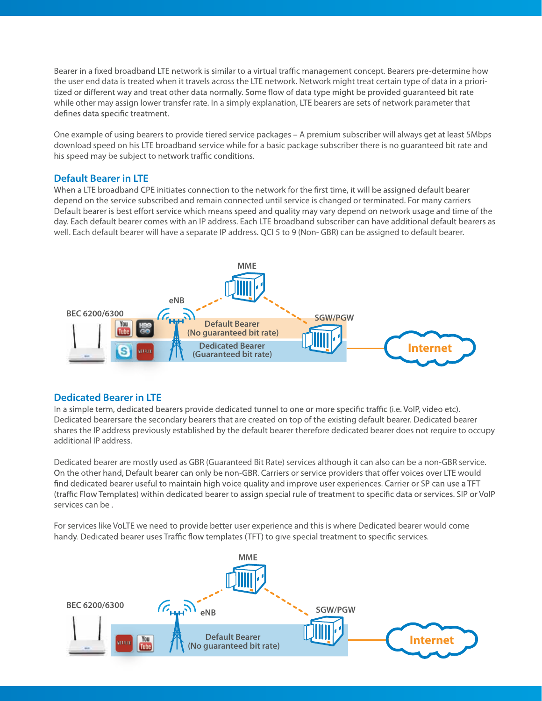Bearer in a fixed broadband LTE network is similar to a virtual traffic management concept. Bearers pre-determine how the user end data is treated when it travels across the LTE network. Network might treat certain type of data in a prioritized or different way and treat other data normally. Some flow of data type might be provided guaranteed bit rate while other may assign lower transfer rate. In a simply explanation, LTE bearers are sets of network parameter that defines data specific treatment.

One example of using bearers to provide tiered service packages – A premium subscriber will always get at least 5Mbps download speed on his LTE broadband service while for a basic package subscriber there is no guaranteed bit rate and his speed may be subject to network traffic conditions.

## **Default Bearer in LTE**

When a LTE broadband CPE initiates connection to the network for the first time, it will be assigned default bearer depend on the service subscribed and remain connected until service is changed or terminated. For many carriers Default bearer is best effort service which means speed and quality may vary depend on network usage and time of the day. Each default bearer comes with an IP address. Each LTE broadband subscriber can have additional default bearers as well. Each default bearer will have a separate IP address. QCI 5 to 9 (Non- GBR) can be assigned to default bearer.



## **Dedicated Bearer in LTE**

In a simple term, dedicated bearers provide dedicated tunnel to one or more specific traffic (i.e. VoIP, video etc). Dedicated bearersare the secondary bearers that are created on top of the existing default bearer. Dedicated bearer shares the IP address previously established by the default bearer therefore dedicated bearer does not require to occupy additional IP address.

Dedicated bearer are mostly used as GBR (Guaranteed Bit Rate) services although it can also can be a non-GBR service. On the other hand, Default bearer can only be non-GBR. Carriers or service providers that offer voices over LTE would find dedicated bearer useful to maintain high voice quality and improve user experiences. Carrier or SP can use a TFT (traffic Flow Templates) within dedicated bearer to assign special rule of treatment to specific data or services. SIP or VoIP services can be .

For services like VoLTE we need to provide better user experience and this is where Dedicated bearer would come handy. Dedicated bearer uses Traffic flow templates (TFT) to give special treatment to specific services.